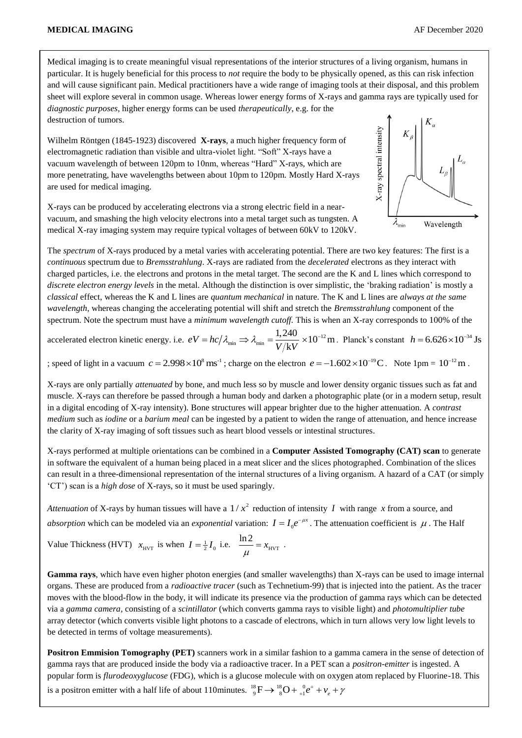Medical imaging is to create meaningful visual representations of the interior structures of a living organism, humans in particular. It is hugely beneficial for this process to *not* require the body to be physically opened, as this can risk infection and will cause significant pain. Medical practitioners have a wide range of imaging tools at their disposal, and this problem sheet will explore several in common usage. Whereas lower energy forms of X-rays and gamma rays are typically used for *diagnostic purposes*, higher energy forms can be used *therapeutically*, e.g. for the destruction of tumors.

Wilhelm Röntgen (1845-1923) discovered **X-rays**, a much higher frequency form of electromagnetic radiation than visible and ultra-violet light. "Soft" X-rays have a vacuum wavelength of between 120pm to 10nm, whereas "Hard" X-rays, which are more penetrating, have wavelengths between about 10pm to 120pm. Mostly Hard X-rays are used for medical imaging.

X-rays can be produced by accelerating electrons via a strong electric field in a nearvacuum, and smashing the high velocity electrons into a metal target such as tungsten. A medical X-ray imaging system may require typical voltages of between 60kV to 120kV.



The *spectrum* of X-rays produced by a metal varies with accelerating potential. There are two key features: The first is a *continuous* spectrum due to *Bremsstrahlung*. X-rays are radiated from the *decelerated* electrons as they interact with charged particles, i.e. the electrons and protons in the metal target. The second are the K and L lines which correspond to *discrete electron energy levels* in the metal. Although the distinction is over simplistic, the 'braking radiation' is mostly a *classical* effect, whereas the K and L lines are *quantum mechanical* in nature. The K and L lines are *always at the same wavelength*, whereas changing the accelerating potential will shift and stretch the *Bremsstrahlung* component of the spectrum. Note the spectrum must have a *minimum wavelength cutoff.* This is when an X-ray corresponds to 100% of the

accelerated electron kinetic energy. i.e.  $eV = hc/\lambda_{\min} \Rightarrow \lambda_{\min} = \frac{1,240}{V/kV} \times 10^{-12}$  m  $\frac{1,240}{V/kV}$  $\lambda_{\min} \Rightarrow \lambda_{\min} =$ F  $= hc/\lambda_{\min} \Rightarrow \lambda_{\min} = \frac{1,240}{V/kV} \times 10^{-12} \text{m}$ . Planck's constant  $h = 6.626 \times 10^{-34} \text{ Js}$ 

; speed of light in a vacuum  $c = 2.998 \times 10^8 \text{ ms}^{-1}$ ; charge on the electron  $e = -1.602 \times 10^{-19} \text{ C}$ . Note 1pm =  $10^{-12} \text{ m}$ .

X-rays are only partially *attenuated* by bone, and much less so by muscle and lower density organic tissues such as fat and muscle. X-rays can therefore be passed through a human body and darken a photographic plate (or in a modern setup, result in a digital encoding of X-ray intensity). Bone structures will appear brighter due to the higher attenuation. A *contrast medium* such as *iodine* or a *barium meal* can be ingested by a patient to widen the range of attenuation, and hence increase the clarity of X-ray imaging of soft tissues such as heart blood vessels or intestinal structures.

X-rays performed at multiple orientations can be combined in a **Computer Assisted Tomography (CAT) scan** to generate in software the equivalent of a human being placed in a meat slicer and the slices photographed. Combination of the slices can result in a three-dimensional representation of the internal structures of a living organism. A hazard of a CAT (or simply 'CT') scan is a *high dose* of X-rays, so it must be used sparingly.

Attenuation of X-rays by human tissues will have a  $1/x^2$  reduction of intensity I with range x from a source, and absorption which can be modeled via an *exponential* variation:  $I = I_0 e^{-\mu x}$ . The attenuation coefficient is  $\mu$ . The Half

Value Thickness (HVT)  $x_{\text{HVT}}$  is when  $I = \frac{1}{2}I_0$  i.e.  $\frac{\ln 2}{\ln 2} = x_{\text{HVT}}$  $\frac{\ln 2}{x} = x$  $\mu$  $=x_{\text{HVT}}$ .

**Gamma rays**, which have even higher photon energies (and smaller wavelengths) than X-rays can be used to image internal organs. These are produced from a *radioactive tracer* (such as Technetium-99) that is injected into the patient. As the tracer moves with the blood-flow in the body, it will indicate its presence via the production of gamma rays which can be detected via a *gamma camera*, consisting of a *scintillator* (which converts gamma rays to visible light) and *photomultiplier tube* array detector (which converts visible light photons to a cascade of electrons, which in turn allows very low light levels to be detected in terms of voltage measurements).

**Positron Emmision Tomography (PET)** scanners work in a similar fashion to a gamma camera in the sense of detection of gamma rays that are produced inside the body via a radioactive tracer. In a PET scan a *positron-emitter* is ingested. A popular form is *flurodeoxyglucose* (FDG), which is a glucose molecule with on oxygen atom replaced by Fluorine-18. This is a positron emitter with a half life of about 110minutes.  ${}^{18}_{9}F \rightarrow {}^{18}_{8}O + {}^{0}_{41}e^+ + v_e + \gamma$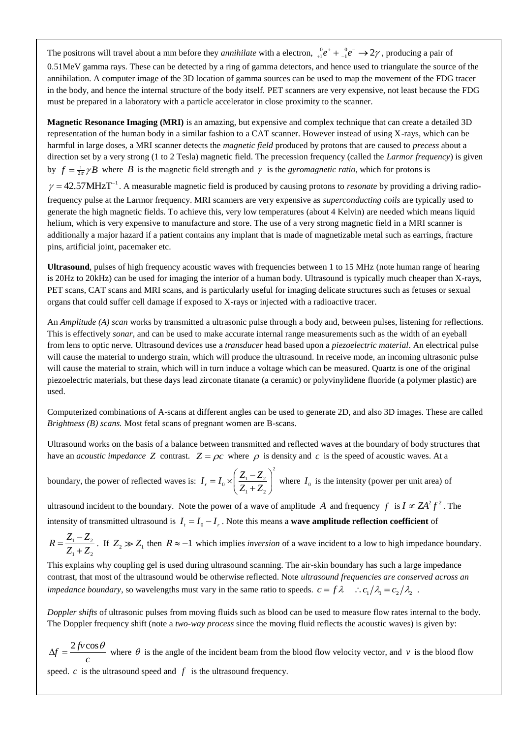The positrons will travel about a mm before they *annihilate* with a electron,  ${}_{+1}^{0}e^+ + {}_{-1}^{0}e^- \rightarrow 2\gamma$ , producing a pair of 0.51MeV gamma rays. These can be detected by a ring of gamma detectors, and hence used to triangulate the source of the annihilation. A computer image of the 3D location of gamma sources can be used to map the movement of the FDG tracer in the body, and hence the internal structure of the body itself. PET scanners are very expensive, not least because the FDG must be prepared in a laboratory with a particle accelerator in close proximity to the scanner.

**Magnetic Resonance Imaging (MRI)** is an amazing, but expensive and complex technique that can create a detailed 3D representation of the human body in a similar fashion to a CAT scanner. However instead of using X-rays, which can be harmful in large doses, a MRI scanner detects the *magnetic field* produced by protons that are caused to *precess* about a direction set by a very strong (1 to 2 Tesla) magnetic field. The precession frequency (called the *Larmor frequency*) is given by  $f = \frac{1}{2\pi} \gamma B$  where B is the magnetic field strength and  $\gamma$  is the *gyromagnetic ratio*, which for protons is

 $\gamma = 42.57 \text{MHz} \text{T}^{-1}$ . A measurable magnetic field is produced by causing protons to *resonate* by providing a driving radiofrequency pulse at the Larmor frequency. MRI scanners are very expensive as *superconducting coils* are typically used to generate the high magnetic fields. To achieve this, very low temperatures (about 4 Kelvin) are needed which means liquid helium, which is very expensive to manufacture and store. The use of a very strong magnetic field in a MRI scanner is additionally a major hazard if a patient contains any implant that is made of magnetizable metal such as earrings, fracture pins, artificial joint, pacemaker etc.

**Ultrasound**, pulses of high frequency acoustic waves with frequencies between 1 to 15 MHz (note human range of hearing is 20Hz to 20kHz) can be used for imaging the interior of a human body. Ultrasound is typically much cheaper than X-rays, PET scans, CAT scans and MRI scans, and is particularly useful for imaging delicate structures such as fetuses or sexual organs that could suffer cell damage if exposed to X-rays or injected with a radioactive tracer.

An *Amplitude (A) scan* works by transmitted a ultrasonic pulse through a body and, between pulses, listening for reflections. This is effectively *sonar*, and can be used to make accurate internal range measurements such as the width of an eyeball from lens to optic nerve. Ultrasound devices use a *transducer* head based upon a *piezoelectric material*. An electrical pulse will cause the material to undergo strain, which will produce the ultrasound. In receive mode, an incoming ultrasonic pulse will cause the material to strain, which will in turn induce a voltage which can be measured. Quartz is one of the original piezoelectric materials, but these days lead zirconate titanate (a ceramic) or polyvinylidene fluoride (a polymer plastic) are used.

Computerized combinations of A-scans at different angles can be used to generate 2D, and also 3D images. These are called *Brightness (B) scans.* Most fetal scans of pregnant women are B-scans.

Ultrasound works on the basis of a balance between transmitted and reflected waves at the boundary of body structures that have an *acoustic impedance* Z contrast.  $Z = \rho c$  where  $\rho$  is density and c is the speed of acoustic waves. At a

boundary, the power of reflected waves is: 2  $I_r = I_0 \times \left( \frac{Z_1 - Z_2}{Z_1 + Z_2} \right)$  $\overline{Z_1 + Z}$  $= I_0 \times \left(\frac{Z_1 - Z_2}{Z_1 + Z_2}\right)^2$  where  $I_0$  is the intensity (power per unit area) of

ultrasound incident to the boundary. Note the power of a wave of amplitude A and frequency  $f$  is  $I \propto ZA^2 f^2$ . The intensity of transmitted ultrasound is  $I_t = I_0 - I_r$ . Note this means a **wave amplitude reflection coefficient** of

 $1 \quad$   $\rightarrow$  2  $1 + 2$  $R = \frac{Z_1 - Z_2}{Z_1 - Z_2}$  $Z_1 + Z$  $=\frac{Z_1-}{Z_2-}$  $\frac{Z_2}{Z_1}$ . If  $Z_2 \gg Z_1$  then  $R \approx -1$  which implies *inversion* of a wave incident to a low to high impedance boundary.

This explains why coupling gel is used during ultrasound scanning. The air-skin boundary has such a large impedance contrast, that most of the ultrasound would be otherwise reflected. Note *ultrasound frequencies are conserved across an impedance boundary*, so wavelengths must vary in the same ratio to speeds.  $c = f \lambda$   $\therefore c_1/\lambda_1 = c_2/\lambda_2$ .

*Doppler shifts* of ultrasonic pulses from moving fluids such as blood can be used to measure flow rates internal to the body. The Doppler frequency shift (note a *two-way process* since the moving fluid reflects the acoustic waves) is given by:

 $f = \frac{2 f v \cos \theta}{2f}$ *c*  $\Delta f = \frac{2 f v \cos \theta}{g}$  where  $\theta$  is the angle of the incident beam from the blood flow velocity vector, and v is the blood flow speed.  $c$  is the ultrasound speed and  $f$  is the ultrasound frequency.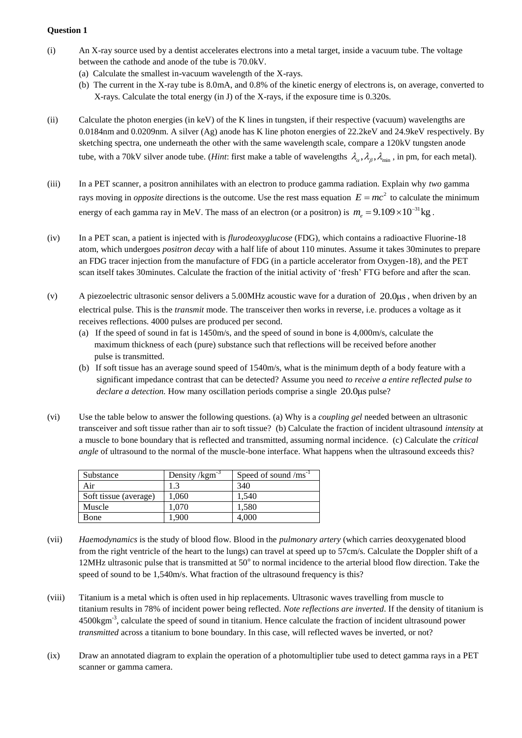### **Question 1**

- (i) An X-ray source used by a dentist accelerates electrons into a metal target, inside a vacuum tube. The voltage between the cathode and anode of the tube is 70.0kV.
	- (a) Calculate the smallest in-vacuum wavelength of the X-rays.
	- (b) The current in the X-ray tube is 8.0mA, and 0.8% of the kinetic energy of electrons is, on average, converted to X-rays. Calculate the total energy (in J) of the X-rays, if the exposure time is 0.320s.
- (ii) Calculate the photon energies (in keV) of the K lines in tungsten, if their respective (vacuum) wavelengths are 0.0184nm and 0.0209nm. A silver (Ag) anode has K line photon energies of 22.2keV and 24.9keV respectively. By sketching spectra, one underneath the other with the same wavelength scale, compare a 120kV tungsten anode tube, with a 70kV silver anode tube. (*Hint*: first make a table of wavelengths  $\lambda_{\alpha}, \lambda_{\beta}, \lambda_{\min}$ , in pm, for each metal).
- (iii) In a PET scanner, a positron annihilates with an electron to produce gamma radiation. Explain why *two* gamma rays moving in *opposite* directions is the outcome. Use the rest mass equation  $E = mc^2$  to calculate the minimum energy of each gamma ray in MeV. The mass of an electron (or a positron) is  $m_e = 9.109 \times 10^{-31}$  kg.
- (iv) In a PET scan, a patient is injected with is *flurodeoxyglucose* (FDG), which contains a radioactive Fluorine-18 atom, which undergoes *positron decay* with a half life of about 110 minutes. Assume it takes 30minutes to prepare an FDG tracer injection from the manufacture of FDG (in a particle accelerator from Oxygen-18), and the PET scan itself takes 30minutes. Calculate the fraction of the initial activity of 'fresh' FTG before and after the scan.
- (v) A piezoelectric ultrasonic sensor delivers a 5.00MHz acoustic wave for a duration of 20.0μs , when driven by an electrical pulse. This is the *transmit* mode. The transceiver then works in reverse, i.e. produces a voltage as it receives reflections. 4000 pulses are produced per second.
	- (a) If the speed of sound in fat is 1450m/s, and the speed of sound in bone is 4,000m/s, calculate the maximum thickness of each (pure) substance such that reflections will be received before another pulse is transmitted.
	- (b) If soft tissue has an average sound speed of 1540m/s, what is the minimum depth of a body feature with a significant impedance contrast that can be detected? Assume you need *to receive a entire reflected pulse to*  declare a detection. How many oscillation periods comprise a single 20.0μs pulse?
- (vi) Use the table below to answer the following questions. (a) Why is a *coupling gel* needed between an ultrasonic transceiver and soft tissue rather than air to soft tissue? (b) Calculate the fraction of incident ultrasound *intensity* at a muscle to bone boundary that is reflected and transmitted, assuming normal incidence. (c) Calculate the *critical angle* of ultrasound to the normal of the muscle-bone interface. What happens when the ultrasound exceeds this?

| Substance             | Density $\gamma$ kgm <sup>-3</sup> | Speed of sound $\text{/ms}^{-1}$ |
|-----------------------|------------------------------------|----------------------------------|
| Air                   | 1.3                                | 340                              |
| Soft tissue (average) | 1.060                              | 1.540                            |
| Muscle                | 1.070                              | 1,580                            |
| Bone                  | 1.900                              | 4.000                            |

- (vii) *Haemodynamics* is the study of blood flow. Blood in the *pulmonary artery* (which carries deoxygenated blood from the right ventricle of the heart to the lungs) can travel at speed up to 57cm/s. Calculate the Doppler shift of a 12MHz ultrasonic pulse that is transmitted at 50° to normal incidence to the arterial blood flow direction. Take the speed of sound to be 1,540m/s. What fraction of the ultrasound frequency is this?
- (viii) Titanium is a metal which is often used in hip replacements. Ultrasonic waves travelling from muscle to titanium results in 78% of incident power being reflected. *Note reflections are inverted*. If the density of titanium is  $4500 \text{kgm}^3$ , calculate the speed of sound in titanium. Hence calculate the fraction of incident ultrasound power *transmitted* across a titanium to bone boundary. In this case, will reflected waves be inverted, or not?
- (ix) Draw an annotated diagram to explain the operation of a photomultiplier tube used to detect gamma rays in a PET scanner or gamma camera.